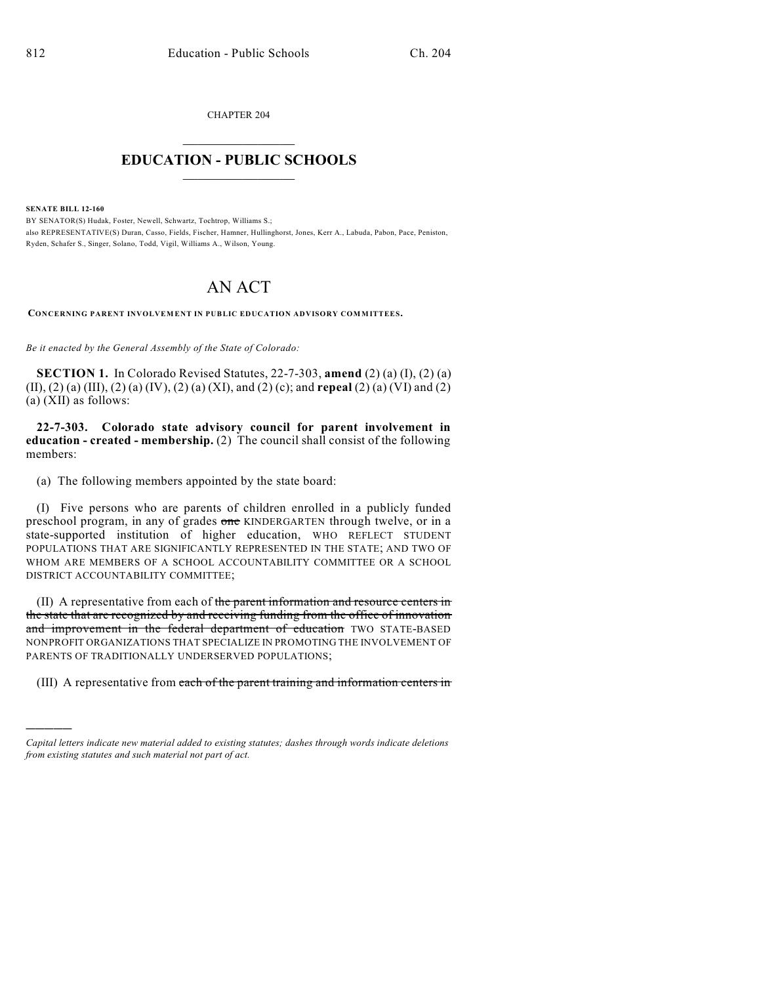CHAPTER 204

## $\mathcal{L}_\text{max}$  . The set of the set of the set of the set of the set of the set of the set of the set of the set of the set of the set of the set of the set of the set of the set of the set of the set of the set of the set **EDUCATION - PUBLIC SCHOOLS**  $\_$   $\_$   $\_$   $\_$   $\_$   $\_$   $\_$   $\_$   $\_$

**SENATE BILL 12-160**

)))))

BY SENATOR(S) Hudak, Foster, Newell, Schwartz, Tochtrop, Williams S.; also REPRESENTATIVE(S) Duran, Casso, Fields, Fischer, Hamner, Hullinghorst, Jones, Kerr A., Labuda, Pabon, Pace, Peniston, Ryden, Schafer S., Singer, Solano, Todd, Vigil, Williams A., Wilson, Young.

## AN ACT

**CONCERNING PARENT INVOLVEMENT IN PUBLIC EDUCATION ADVISORY COMMITTEES.**

*Be it enacted by the General Assembly of the State of Colorado:*

**SECTION 1.** In Colorado Revised Statutes, 22-7-303, **amend** (2) (a) (I), (2) (a) (II), (2) (a) (III), (2) (a) (IV), (2) (a) (XI), and (2) (c); and **repeal** (2) (a) (VI) and (2) (a) (XII) as follows:

**22-7-303. Colorado state advisory council for parent involvement in education - created - membership.** (2) The council shall consist of the following members:

(a) The following members appointed by the state board:

(I) Five persons who are parents of children enrolled in a publicly funded preschool program, in any of grades one KINDERGARTEN through twelve, or in a state-supported institution of higher education, WHO REFLECT STUDENT POPULATIONS THAT ARE SIGNIFICANTLY REPRESENTED IN THE STATE; AND TWO OF WHOM ARE MEMBERS OF A SCHOOL ACCOUNTABILITY COMMITTEE OR A SCHOOL DISTRICT ACCOUNTABILITY COMMITTEE;

(II) A representative from each of the parent information and resource centers in the state that are recognized by and receiving funding from the office of innovation and improvement in the federal department of education TWO STATE-BASED NONPROFIT ORGANIZATIONS THAT SPECIALIZE IN PROMOTING THE INVOLVEMENT OF PARENTS OF TRADITIONALLY UNDERSERVED POPULATIONS;

(III) A representative from each of the parent training and information centers in

*Capital letters indicate new material added to existing statutes; dashes through words indicate deletions from existing statutes and such material not part of act.*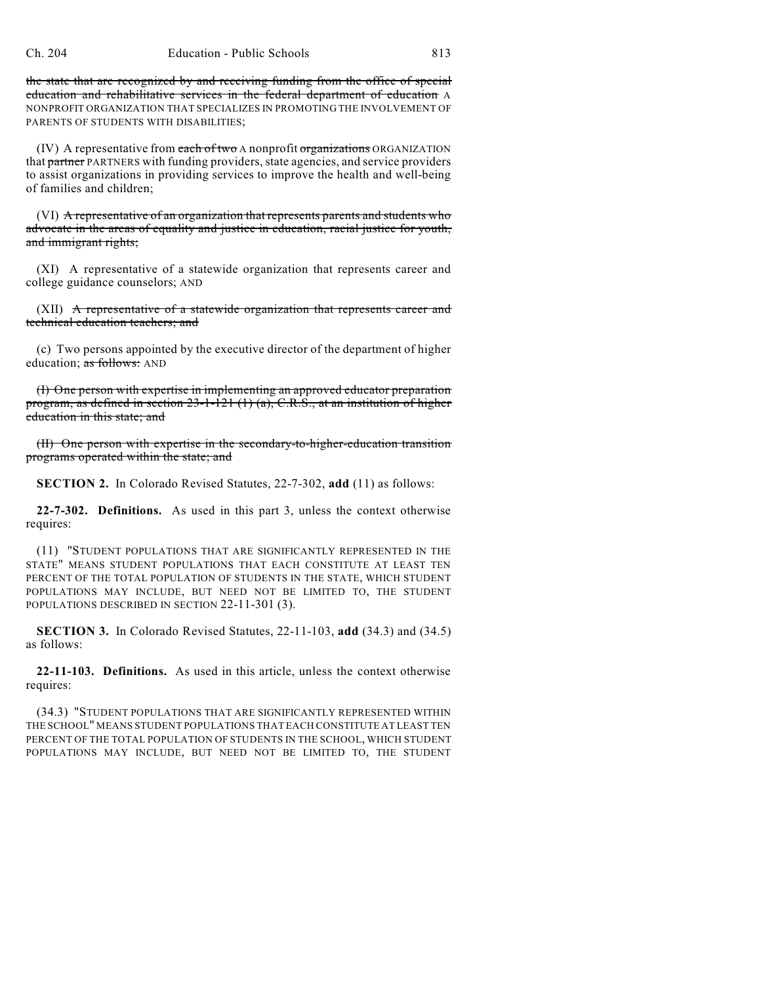the state that are recognized by and receiving funding from the office of special education and rehabilitative services in the federal department of education A NONPROFIT ORGANIZATION THAT SPECIALIZES IN PROMOTING THE INVOLVEMENT OF PARENTS OF STUDENTS WITH DISABILITIES;

(IV) A representative from each of two A nonprofit organizations ORGANIZATION that partner PARTNERS with funding providers, state agencies, and service providers to assist organizations in providing services to improve the health and well-being of families and children;

(VI) A representative of an organization that represents parents and students who advocate in the areas of equality and justice in education, racial justice for youth, and immigrant rights;

(XI) A representative of a statewide organization that represents career and college guidance counselors; AND

 $(XII)$  A representative of a statewide organization that represents career and technical education teachers; and

(c) Two persons appointed by the executive director of the department of higher education; as follows: AND

(I) One person with expertise in implementing an approved educator preparation program, as defined in section 23-1-121 (1) (a), C.R.S., at an institution of higher education in this state; and

(II) One person with expertise in the secondary-to-higher-education transition programs operated within the state; and

**SECTION 2.** In Colorado Revised Statutes, 22-7-302, **add** (11) as follows:

**22-7-302. Definitions.** As used in this part 3, unless the context otherwise requires:

(11) "STUDENT POPULATIONS THAT ARE SIGNIFICANTLY REPRESENTED IN THE STATE" MEANS STUDENT POPULATIONS THAT EACH CONSTITUTE AT LEAST TEN PERCENT OF THE TOTAL POPULATION OF STUDENTS IN THE STATE, WHICH STUDENT POPULATIONS MAY INCLUDE, BUT NEED NOT BE LIMITED TO, THE STUDENT POPULATIONS DESCRIBED IN SECTION 22-11-301 (3).

**SECTION 3.** In Colorado Revised Statutes, 22-11-103, **add** (34.3) and (34.5) as follows:

**22-11-103. Definitions.** As used in this article, unless the context otherwise requires:

(34.3) "STUDENT POPULATIONS THAT ARE SIGNIFICANTLY REPRESENTED WITHIN THE SCHOOL" MEANS STUDENT POPULATIONS THAT EACH CONSTITUTE AT LEAST TEN PERCENT OF THE TOTAL POPULATION OF STUDENTS IN THE SCHOOL, WHICH STUDENT POPULATIONS MAY INCLUDE, BUT NEED NOT BE LIMITED TO, THE STUDENT